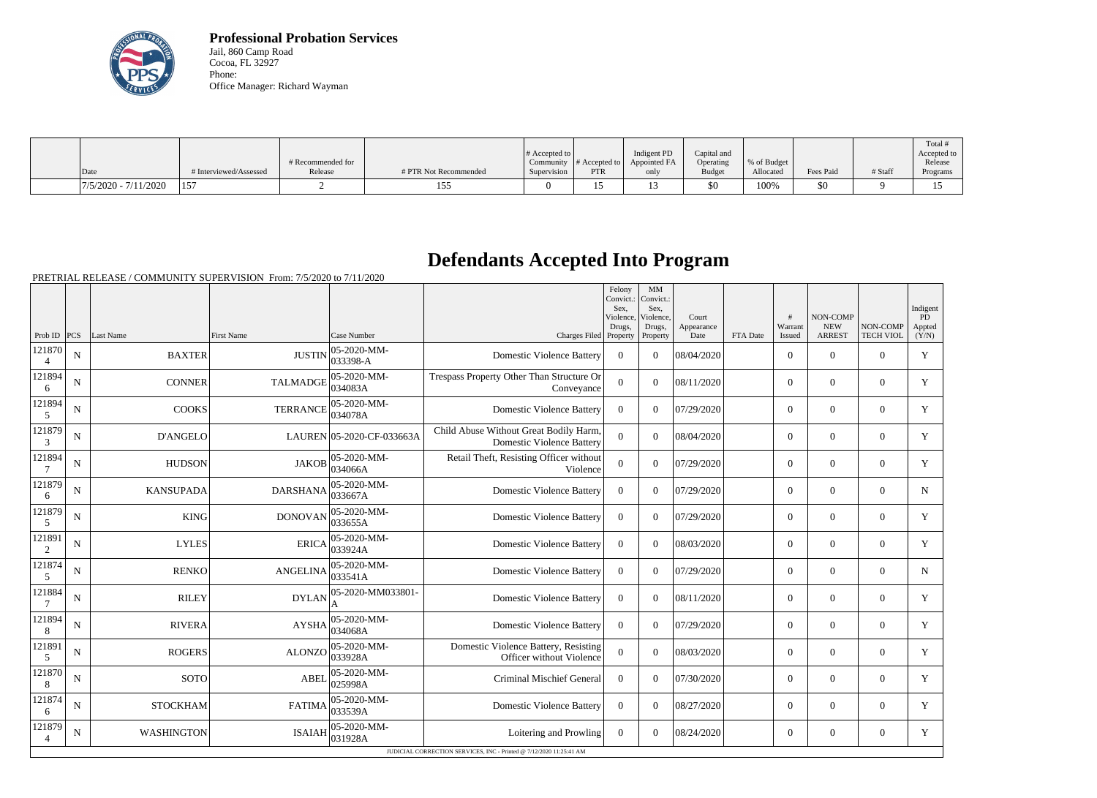

**Professional Probation Services** Jail, 860 Camp Road Cocoa, FL 32927 Phone: Office Manager: Richard Wayman

|                        |                        |                              |                       | $\#$ Accepted to         |                                          | Indigent PD          | Capital and                |                           |           |         | Total #<br>Accepted to |
|------------------------|------------------------|------------------------------|-----------------------|--------------------------|------------------------------------------|----------------------|----------------------------|---------------------------|-----------|---------|------------------------|
| $\vert$ Date           | # Interviewed/Assessed | # Recommended for<br>Release | # PTR Not Recommended | Community<br>Supervision | $#$ Accepted to $\upharpoonright$<br>PTR | Appointed FA<br>only | Operating<br><b>Budget</b> | \% of Budget<br>Allocated | Fees Paid | # Staff | Release<br>Programs    |
| $7/5/2020 - 7/11/2020$ | 15 <sup>7</sup>        |                              | --<br>                |                          |                                          | ⊥ັ                   | $$^{<}$                    | 100%                      | 50        |         |                        |

## **Defendants Accepted Into Program**

PRETRIAL RELEASE / COMMUNITY SUPERVISION From: 7/5/2020 to 7/11/2020

|                          |             |                   |                                           |                                 |                                                                            | Felony<br>Convict.:<br>Sex.<br>Violence, | MM<br>Convict.:<br>Sex.<br>Violence, | Court              |          | #                 | NON-COMP                    |                              | Indigent<br>PD  |
|--------------------------|-------------|-------------------|-------------------------------------------|---------------------------------|----------------------------------------------------------------------------|------------------------------------------|--------------------------------------|--------------------|----------|-------------------|-----------------------------|------------------------------|-----------------|
| Prob ID                  | PCS         | Last Name         | <b>First Name</b>                         | Case Number                     | Charges Filed Property                                                     | Drugs,                                   | Drugs,<br>Property                   | Appearance<br>Date | FTA Date | Warrant<br>Issued | <b>NEW</b><br><b>ARREST</b> | NON-COMP<br><b>TECH VIOL</b> | Appted<br>(Y/N) |
| 121870<br>$\overline{4}$ | $\mathbf N$ | <b>BAXTER</b>     | <b>JUSTIN</b>                             | 05-2020-MM-<br>033398-A         | <b>Domestic Violence Battery</b>                                           | $\theta$                                 | $\theta$                             | 08/04/2020         |          | $\Omega$          | $\theta$                    | $\Omega$                     | Y               |
| 121894<br>6              | N           | <b>CONNER</b>     | <b>TALMADGE</b>                           | 05-2020-MM-<br>034083A          | Trespass Property Other Than Structure Or<br>Conveyance                    | $\Omega$                                 | $\Omega$                             | 08/11/2020         |          | $\overline{0}$    | $\boldsymbol{0}$            | $\overline{0}$               | Y               |
| 121894<br>5              | N           | <b>COOKS</b>      | 05-2020-MM-<br><b>TERRANCE</b><br>034078A |                                 | <b>Domestic Violence Battery</b>                                           | $\Omega$                                 | $\Omega$                             | 07/29/2020         |          | $\overline{0}$    | $\boldsymbol{0}$            | $\overline{0}$               | Y               |
| 121879<br>3              | $\mathbf N$ | <b>D'ANGELO</b>   |                                           | LAUREN 05-2020-CF-033663A       | Child Abuse Without Great Bodily Harm,<br><b>Domestic Violence Battery</b> | $\Omega$                                 | $\Omega$                             | 08/04/2020         |          | $\overline{0}$    | $\theta$                    | $\overline{0}$               | Y               |
| 121894<br>$\overline{7}$ | N           | <b>HUDSON</b>     | <b>JAKOB</b>                              | 05-2020-MM-<br>034066A          | Retail Theft, Resisting Officer without<br>Violence                        | $\Omega$                                 | $\theta$                             | 07/29/2020         |          | $\overline{0}$    | $\overline{0}$              | $\overline{0}$               | Y               |
| 121879<br>6              | N           | <b>KANSUPADA</b>  | <b>DARSHANA</b>                           | 05-2020-MM-<br>033667A          | <b>Domestic Violence Battery</b>                                           | $\theta$                                 | $\Omega$                             | 07/29/2020         |          | $\overline{0}$    | $\theta$                    | $\Omega$                     | $\mathbf N$     |
| 121879<br>5              | N           | <b>KING</b>       | <b>DONOVAN</b>                            | 05-2020-MM-<br>033655A          | <b>Domestic Violence Battery</b>                                           | $\theta$                                 | $\Omega$                             | 07/29/2020         |          | $\overline{0}$    | $\overline{0}$              | $\Omega$                     | Y               |
| 121891<br>$\overline{2}$ | N           | <b>LYLES</b>      | <b>ERICA</b>                              | 05-2020-MM-<br>033924A          | <b>Domestic Violence Battery</b>                                           | $\overline{0}$                           | $\Omega$                             | 08/03/2020         |          | $\Omega$          | $\theta$                    | $\Omega$                     | Y               |
| 121874<br>5              | N           | <b>RENKO</b>      | <b>ANGELINA</b>                           | 05-2020-MM-<br>033541A          | <b>Domestic Violence Battery</b>                                           | $\theta$                                 | $\Omega$                             | 07/29/2020         |          | $\overline{0}$    | $\overline{0}$              | $\overline{0}$               | N               |
| 121884                   | N           | <b>RILEY</b>      | <b>DYLAN</b>                              | 05-2020-MM033801-               | <b>Domestic Violence Battery</b>                                           | $\theta$                                 | $\Omega$                             | 08/11/2020         |          | $\overline{0}$    | $\theta$                    | $\overline{0}$               | Y               |
| 121894<br>8              | $\mathbf N$ | <b>RIVERA</b>     | <b>AYSHA</b>                              | 05-2020-MM-<br>034068A          | <b>Domestic Violence Battery</b>                                           | $\overline{0}$                           | $\Omega$                             | 07/29/2020         |          | $\overline{0}$    | $\boldsymbol{0}$            | $\overline{0}$               | Y               |
| 121891<br>5              | N           | <b>ROGERS</b>     | ALONZO                                    | 05-2020-MM-<br>033928A          | Domestic Violence Battery, Resisting<br>Officer without Violence           | $\overline{0}$                           | $\theta$                             | 08/03/2020         |          | $\overline{0}$    | $\theta$                    | $\overline{0}$               | $\mathbf Y$     |
| 121870<br>8              | N           | <b>SOTO</b>       | <b>ABEL</b>                               | 05-2020-MM-<br>025998A          | Criminal Mischief General                                                  | $\overline{0}$                           | $\Omega$                             | 07/30/2020         |          | $\overline{0}$    | $\theta$                    | $\Omega$                     | Y               |
| 121874<br>6              | N           | <b>STOCKHAM</b>   | <b>FATIMA</b>                             | $ 05 - 2020 - MM -$<br> 033539A | <b>Domestic Violence Battery</b>                                           | $\theta$                                 | $\Omega$                             | 08/27/2020         |          | $\Omega$          | $\theta$                    | $\Omega$                     | Y               |
| 121879<br>$\overline{4}$ | N           | <b>WASHINGTON</b> | <b>ISAIAH</b>                             | 05-2020-MM-<br>031928A          | Loitering and Prowling                                                     | $\overline{0}$                           | $\Omega$                             | 08/24/2020         |          | $\overline{0}$    | $\overline{0}$              | $\overline{0}$               | Y               |
|                          |             |                   |                                           |                                 | JUDICIAL CORRECTION SERVICES, INC - Printed @ 7/12/2020 11:25:41 AM        |                                          |                                      |                    |          |                   |                             |                              |                 |